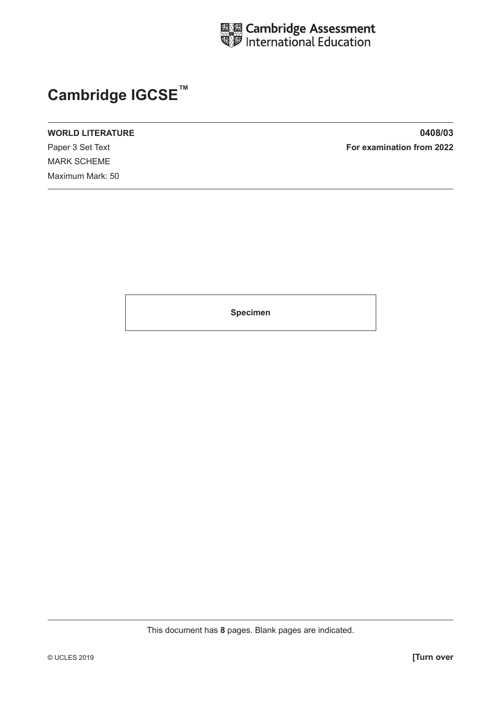

# **Cambridge IGCSE™**

MARK SCHEME Maximum Mark: 50

**WORLD LITERATURE 0408/03** Paper 3 Set Text **For examination from 2022**

**Specimen**

This document has **8** pages. Blank pages are indicated.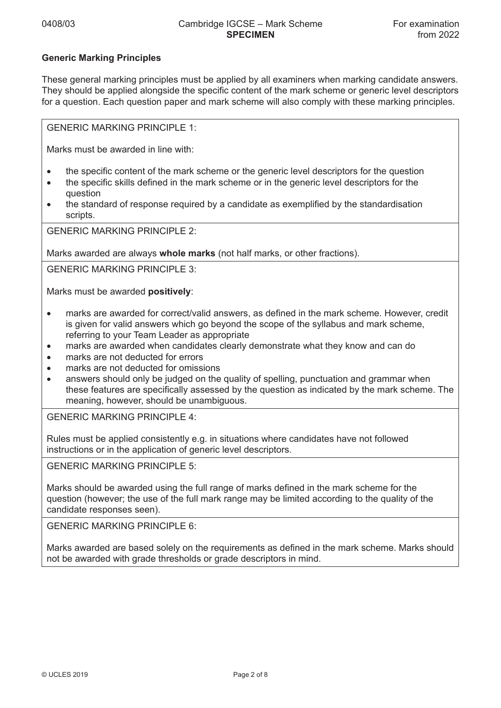### **Generic Marking Principles**

These general marking principles must be applied by all examiners when marking candidate answers. They should be applied alongside the specific content of the mark scheme or generic level descriptors for a question. Each question paper and mark scheme will also comply with these marking principles.

GENERIC MARKING PRINCIPLE 1:

Marks must be awarded in line with:

- the specific content of the mark scheme or the generic level descriptors for the question
- the specific skills defined in the mark scheme or in the generic level descriptors for the question
- the standard of response required by a candidate as exemplified by the standardisation scripts.

GENERIC MARKING PRINCIPLE 2:

Marks awarded are always **whole marks** (not half marks, or other fractions).

GENERIC MARKING PRINCIPLE 3:

Marks must be awarded **positively**:

- marks are awarded for correct/valid answers, as defined in the mark scheme. However, credit is given for valid answers which go beyond the scope of the syllabus and mark scheme, referring to your Team Leader as appropriate
- marks are awarded when candidates clearly demonstrate what they know and can do
- marks are not deducted for errors
- marks are not deducted for omissions
- answers should only be judged on the quality of spelling, punctuation and grammar when these features are specifically assessed by the question as indicated by the mark scheme. The meaning, however, should be unambiguous.

GENERIC MARKING PRINCIPLE 4:

Rules must be applied consistently e.g. in situations where candidates have not followed instructions or in the application of generic level descriptors.

GENERIC MARKING PRINCIPLE 5:

Marks should be awarded using the full range of marks defined in the mark scheme for the question (however; the use of the full mark range may be limited according to the quality of the candidate responses seen).

GENERIC MARKING PRINCIPLE 6:

Marks awarded are based solely on the requirements as defined in the mark scheme. Marks should not be awarded with grade thresholds or grade descriptors in mind.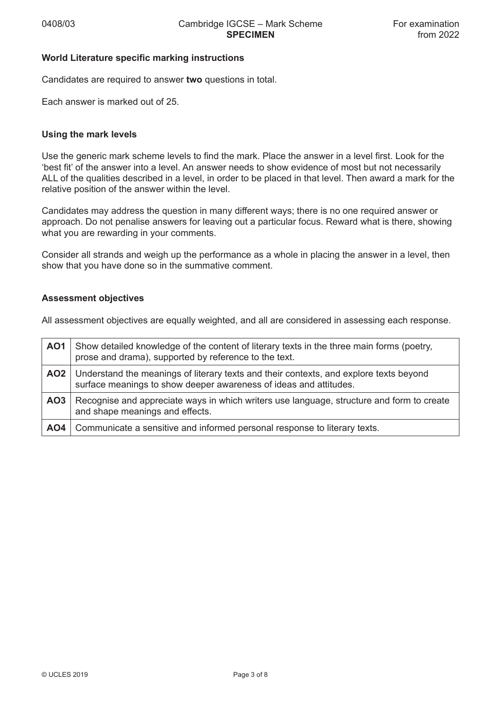#### **World Literature specific marking instructions**

Candidates are required to answer **two** questions in total.

Each answer is marked out of 25.

#### **Using the mark levels**

Use the generic mark scheme levels to find the mark. Place the answer in a level first. Look for the 'best fit' of the answer into a level. An answer needs to show evidence of most but not necessarily ALL of the qualities described in a level, in order to be placed in that level. Then award a mark for the relative position of the answer within the level.

Candidates may address the question in many different ways; there is no one required answer or approach. Do not penalise answers for leaving out a particular focus. Reward what is there, showing what you are rewarding in your comments.

Consider all strands and weigh up the performance as a whole in placing the answer in a level, then show that you have done so in the summative comment.

#### **Assessment objectives**

All assessment objectives are equally weighted, and all are considered in assessing each response.

| AO1             | Show detailed knowledge of the content of literary texts in the three main forms (poetry,<br>prose and drama), supported by reference to the text.          |
|-----------------|-------------------------------------------------------------------------------------------------------------------------------------------------------------|
| AO2             | Understand the meanings of literary texts and their contexts, and explore texts beyond<br>surface meanings to show deeper awareness of ideas and attitudes. |
| AO <sub>3</sub> | Recognise and appreciate ways in which writers use language, structure and form to create<br>and shape meanings and effects.                                |
| AO4             | Communicate a sensitive and informed personal response to literary texts.                                                                                   |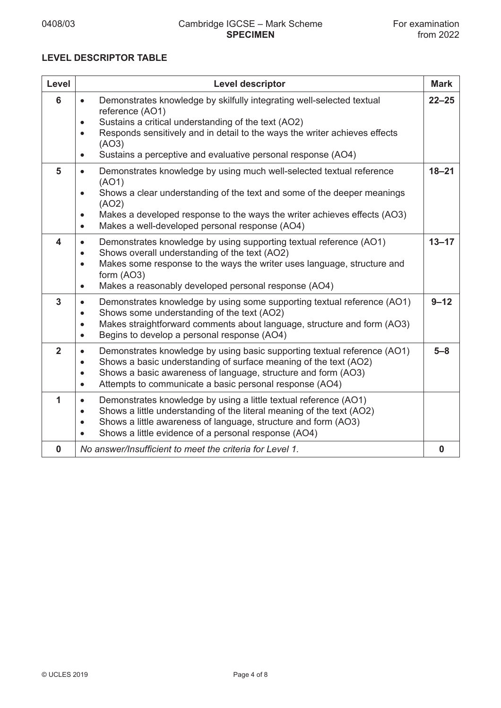# **LEVEL DESCRIPTOR TABLE**

| Level                   | <b>Level descriptor</b>                                                                                                                                                                                                                                                                                                                                    | <b>Mark</b> |
|-------------------------|------------------------------------------------------------------------------------------------------------------------------------------------------------------------------------------------------------------------------------------------------------------------------------------------------------------------------------------------------------|-------------|
| 6                       | Demonstrates knowledge by skilfully integrating well-selected textual<br>$\bullet$<br>reference (AO1)<br>Sustains a critical understanding of the text (AO2)<br>$\bullet$<br>Responds sensitively and in detail to the ways the writer achieves effects<br>$\bullet$<br>(AO3)<br>Sustains a perceptive and evaluative personal response (AO4)<br>$\bullet$ | $22 - 25$   |
| 5                       | Demonstrates knowledge by using much well-selected textual reference<br>$\bullet$<br>(AO1)<br>Shows a clear understanding of the text and some of the deeper meanings<br>$\bullet$<br>(AO2)<br>Makes a developed response to the ways the writer achieves effects (AO3)<br>$\bullet$<br>Makes a well-developed personal response (AO4)<br>$\bullet$        | $18 - 21$   |
| $\overline{\mathbf{4}}$ | Demonstrates knowledge by using supporting textual reference (AO1)<br>$\bullet$<br>Shows overall understanding of the text (AO2)<br>$\bullet$<br>Makes some response to the ways the writer uses language, structure and<br>$\bullet$<br>form (AO3)<br>Makes a reasonably developed personal response (AO4)<br>$\bullet$                                   | $13 - 17$   |
| $\mathbf{3}$            | Demonstrates knowledge by using some supporting textual reference (AO1)<br>$\bullet$<br>Shows some understanding of the text (AO2)<br>$\bullet$<br>Makes straightforward comments about language, structure and form (AO3)<br>$\bullet$<br>Begins to develop a personal response (AO4)<br>$\bullet$                                                        | $9 - 12$    |
| $\overline{2}$          | Demonstrates knowledge by using basic supporting textual reference (AO1)<br>$\bullet$<br>Shows a basic understanding of surface meaning of the text (AO2)<br>$\bullet$<br>Shows a basic awareness of language, structure and form (AO3)<br>$\bullet$<br>Attempts to communicate a basic personal response (AO4)<br>$\bullet$                               | $5 - 8$     |
| 1                       | Demonstrates knowledge by using a little textual reference (AO1)<br>$\bullet$<br>Shows a little understanding of the literal meaning of the text (AO2)<br>$\bullet$<br>Shows a little awareness of language, structure and form (AO3)<br>$\bullet$<br>Shows a little evidence of a personal response (AO4)<br>$\bullet$                                    |             |
| $\mathbf 0$             | No answer/Insufficient to meet the criteria for Level 1.                                                                                                                                                                                                                                                                                                   | $\mathbf 0$ |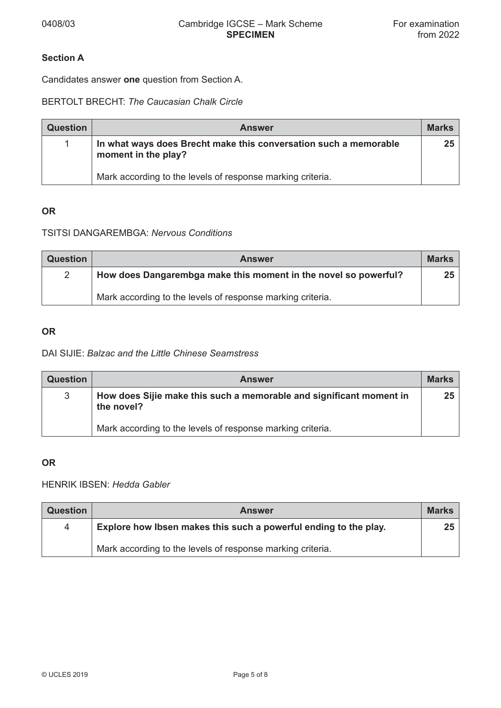# **Section A**

Candidates answer **one** question from Section A.

BERTOLT BRECHT: *The Caucasian Chalk Circle*

| <b>Question</b> | <b>Answer</b>                                                                           | <b>Marks</b> |
|-----------------|-----------------------------------------------------------------------------------------|--------------|
|                 | In what ways does Brecht make this conversation such a memorable<br>moment in the play? | 25           |
|                 | Mark according to the levels of response marking criteria.                              |              |

### **OR**

## TSITSI DANGAREMBGA: *Nervous Conditions*

| <b>Question</b> | <b>Answer</b>                                                   | <b>Marks</b>    |
|-----------------|-----------------------------------------------------------------|-----------------|
| $\mathbf{2}$    | How does Dangarembga make this moment in the novel so powerful? | 25 <sub>1</sub> |
|                 | Mark according to the levels of response marking criteria.      |                 |

#### **OR**

#### DAI SIJIE: *Balzac and the Little Chinese Seamstress*

| <b>Question</b> | <b>Answer</b>                                                                     | <b>Marks</b>    |
|-----------------|-----------------------------------------------------------------------------------|-----------------|
| 3               | How does Sijie make this such a memorable and significant moment in<br>the novel? | 25 <sub>2</sub> |
|                 | Mark according to the levels of response marking criteria.                        |                 |

#### **OR**

# HENRIK IBSEN: *Hedda Gabler*

| <b>Question</b> | <b>Answer</b>                                                    | <b>Marks</b> |
|-----------------|------------------------------------------------------------------|--------------|
| 4               | Explore how Ibsen makes this such a powerful ending to the play. | 25           |
|                 | Mark according to the levels of response marking criteria.       |              |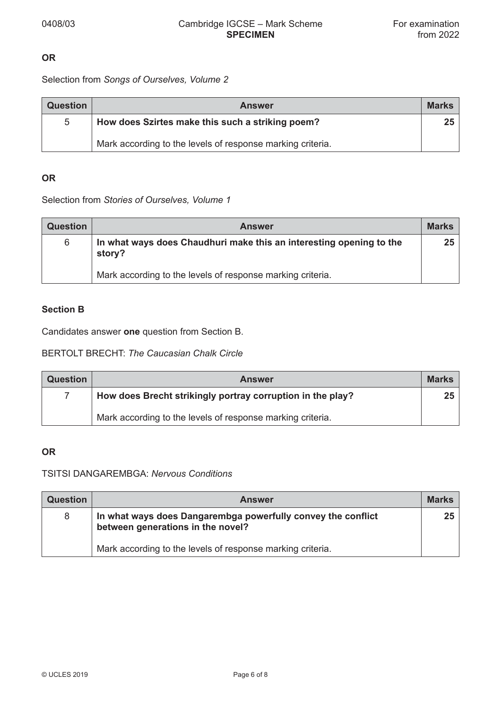## **OR**

Selection from *Songs of Ourselves, Volume 2*

| <b>Question</b> | <b>Answer</b>                                              | <b>Marks</b> |
|-----------------|------------------------------------------------------------|--------------|
| 5               | How does Szirtes make this such a striking poem?           | 25           |
|                 | Mark according to the levels of response marking criteria. |              |

## **OR**

Selection from *Stories of Ourselves, Volume 1*

| <b>Question</b> | <b>Answer</b>                                                                 | <b>Marks</b>    |
|-----------------|-------------------------------------------------------------------------------|-----------------|
| 6               | In what ways does Chaudhuri make this an interesting opening to the<br>story? | 25 <sub>1</sub> |
|                 | Mark according to the levels of response marking criteria.                    |                 |

## **Section B**

Candidates answer **one** question from Section B.

## BERTOLT BRECHT: *The Caucasian Chalk Circle*

| <b>Question</b> | <b>Answer</b>                                              | <b>Marks</b> |
|-----------------|------------------------------------------------------------|--------------|
|                 | How does Brecht strikingly portray corruption in the play? | 25           |
|                 | Mark according to the levels of response marking criteria. |              |

### **OR**

# TSITSI DANGAREMBGA: *Nervous Conditions*

| <b>Question</b> | <b>Answer</b>                                                                                     | <b>Marks</b>    |
|-----------------|---------------------------------------------------------------------------------------------------|-----------------|
| 8               | In what ways does Dangarembga powerfully convey the conflict<br>between generations in the novel? | 25 <sub>1</sub> |
|                 | Mark according to the levels of response marking criteria.                                        |                 |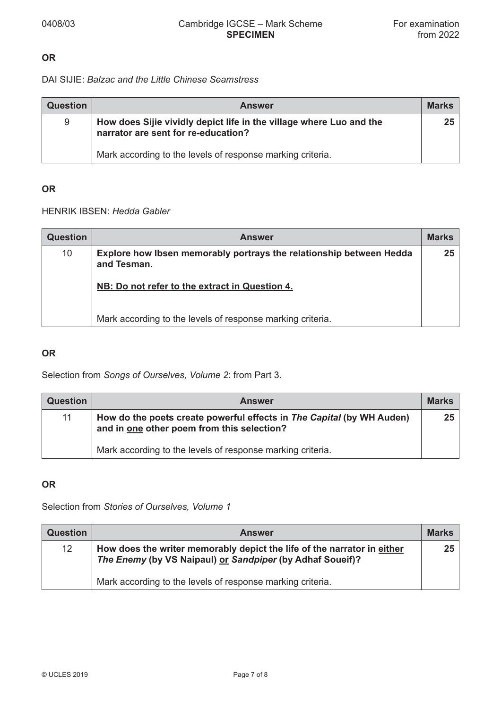## **OR**

## DAI SIJIE: *Balzac and the Little Chinese Seamstress*

| <b>Question</b> | <b>Answer</b>                                                                                              | <b>Marks</b>    |
|-----------------|------------------------------------------------------------------------------------------------------------|-----------------|
| 9               | How does Sijie vividly depict life in the village where Luo and the<br>narrator are sent for re-education? | 25 <sub>2</sub> |
|                 | Mark according to the levels of response marking criteria.                                                 |                 |

### **OR**

### HENRIK IBSEN: *Hedda Gabler*

| <b>Question</b> | <b>Answer</b>                                                                      | <b>Marks</b> |
|-----------------|------------------------------------------------------------------------------------|--------------|
| 10              | Explore how Ibsen memorably portrays the relationship between Hedda<br>and Tesman. | 25           |
|                 | NB: Do not refer to the extract in Question 4.                                     |              |
|                 | Mark according to the levels of response marking criteria.                         |              |

#### **OR**

Selection from *Songs of Ourselves, Volume 2*: from Part 3.

| <b>Question</b> | <b>Answer</b>                                                                                                       | <b>Marks</b> |
|-----------------|---------------------------------------------------------------------------------------------------------------------|--------------|
| 11              | How do the poets create powerful effects in The Capital (by WH Auden)<br>and in one other poem from this selection? | 25           |
|                 | Mark according to the levels of response marking criteria.                                                          |              |

### **OR**

Selection from *Stories of Ourselves, Volume 1*

| <b>Question</b> | <b>Answer</b>                                                                                                                        | <b>Marks</b> |
|-----------------|--------------------------------------------------------------------------------------------------------------------------------------|--------------|
| 12              | How does the writer memorably depict the life of the narrator in either<br>The Enemy (by VS Naipaul) or Sandpiper (by Adhaf Soueif)? | 25           |
|                 | Mark according to the levels of response marking criteria.                                                                           |              |